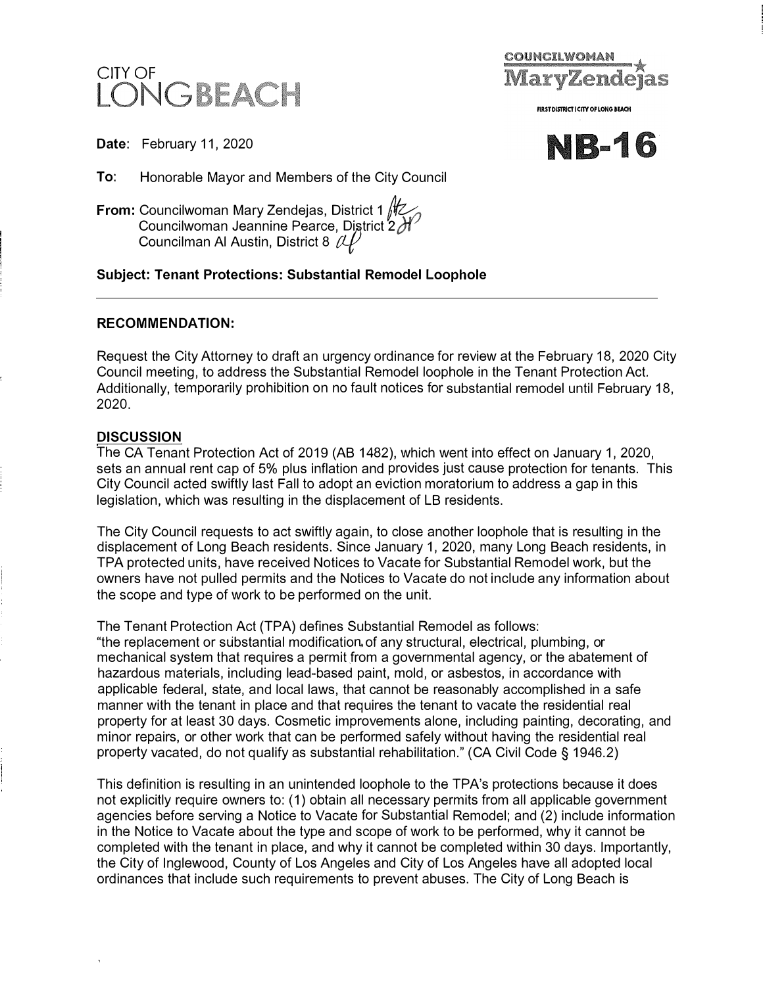



**FIRST DISTRICT I CITY OF LONG BEACH** 

**-16**

**Date:** February 11, 2020

**To:** Honorable Mayor and Members of the City Council

**From:** Councilwoman Mary Zendejas, District 1 *||*| Councilwoman Jeannine Pearce, District 2*f*f<br>Councilman Al Austin, District 8, *(I I )* Councilman Al Austin, District 8  ${\mathscr U}$ 

# **Subject: Tenant Protections: Substantial Remodel Loophole**

## **RECOMMENDATION:**

Request the City Attorney to draft an urgency ordinance for review at the February 18, 2020 City Council meeting, to address the Substantial Remodel loophole in the Tenant Protection Act. Additionally, temporarily prohibition on no fault notices for substantial remodel until February 18, 2020.

## **DISCUSSION**

The CA Tenant Protection Act of 2019 (AB 1482), which went into effect on January 1, 2020, sets an annual rent cap of 5% plus inflation and provides just cause protection for tenants. This City Council acted swiftly last Fall to adopt an eviction moratorium to address a gap in this legislation, which was resulting in the displacement of LB residents.

The City Council requests to act swiftly again, to close another loophole that is resulting in the displacement of Long Beach residents. Since January 1, 2020, many Long Beach residents, in TPA protected units, have received Notices to Vacate for Substantial Remodel work, but the owners have not pulled permits and the Notices to Vacate do not include any information about the scope and type of work to be performed on the unit.

The Tenant Protection Act {TPA) defines Substantial Remodel as follows:

"the replacement or substantial modification.of any structural, electrical, plumbing, or mechanical system that requires a permit from a governmental agency, or the abatement of hazardous materials, including lead-based paint, mold, or asbestos, in accordance with applicable federal, state, and local laws, that cannot be reasonably accomplished in a safe manner with the tenant in place and that requires the tenant to vacate the residential real property for at least 30 days. Cosmetic improvements alone, including painting, decorating, and minor repairs, or other work that can be performed safely without having the residential real property vacated, do not qualify as substantial rehabilitation." (CA Civil Code § 1946.2)

This definition is resulting in an unintended loophole to the TPA's protections because it does not explicitly require owners to: ( 1) obtain all necessary permits from all applicable government agencies before serving a Notice to Vacate for Substantial Remodel; and (2) include information in the Notice to Vacate about the type and scope of work to be performed, why it cannot be completed with the tenant in place, and why it cannot be completed within 30 days. Importantly, the City of Inglewood, County of Los Angeles and City of Los Angeles have all adopted local ordinances that include such requirements to prevent abuses. The City of Long Beach is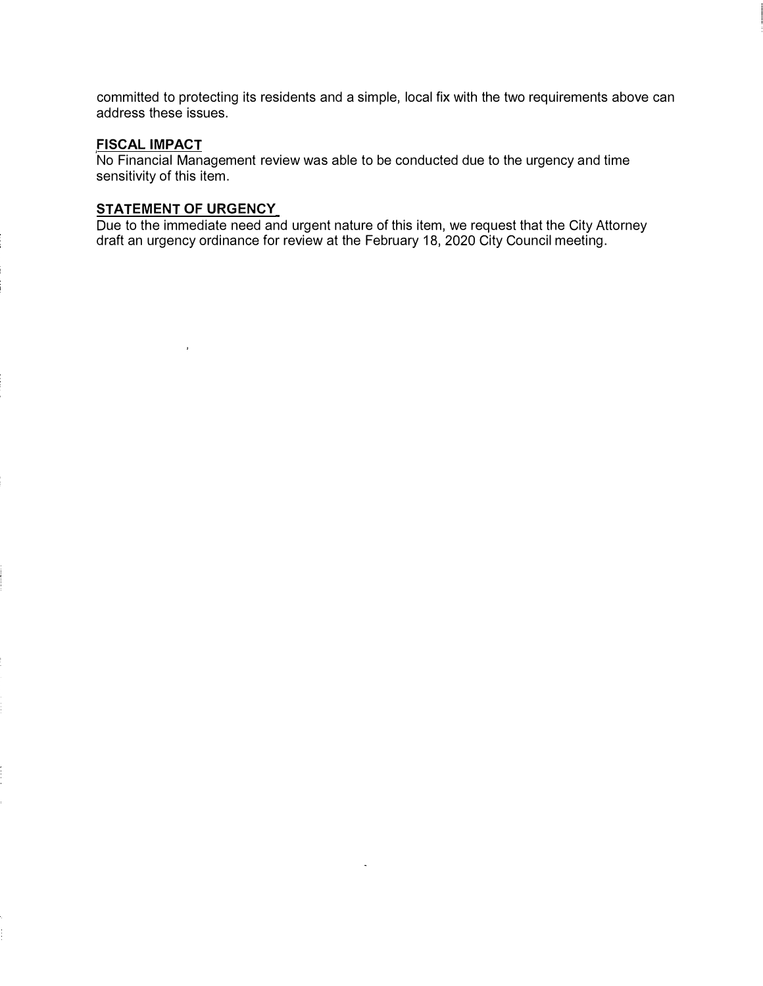committed to protecting its residents and a simple, local fix with the two requirements above can address these issues.

#### **FISCAL IMPACT**

No Financial Management review was able to be conducted due to the urgency and time sensitivity of this item.

# **STATEMENT OF URGENCY**

Due to the immediate need and urgent nature of this item, we request that the City Attorney draft an urgency ordinance for review at the February 18, 2020 City Council meeting.